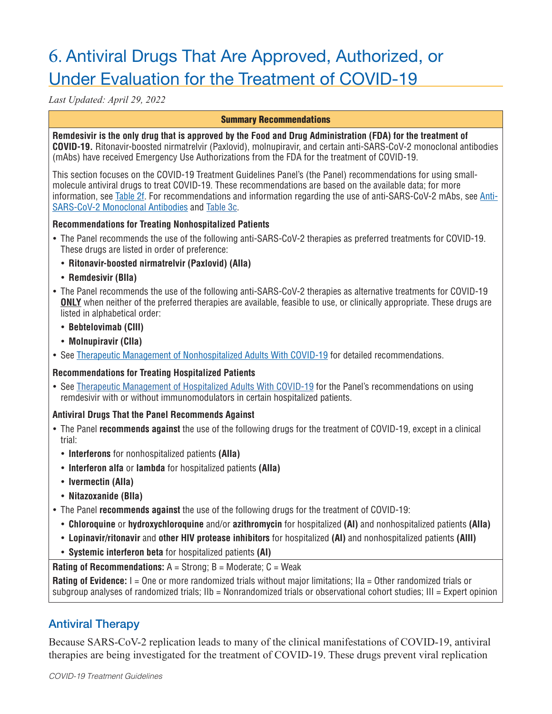# 6. Antiviral Drugs That Are Approved, Authorized, or Under Evaluation for the Treatment of COVID-19

*Last Updated: April 29, 2022*

#### Summary Recommendations

**Remdesivir is the only drug that is approved by the Food and Drug Administration (FDA) for the treatment of COVID-19.** Ritonavir-boosted nirmatrelvir (Paxlovid), molnupiravir, and certain anti-SARS-CoV-2 monoclonal antibodies (mAbs) have received Emergency Use Authorizations from the FDA for the treatment of COVID-19.

This section focuses on the COVID-19 Treatment Guidelines Panel's (the Panel) recommendations for using smallmolecule antiviral drugs to treat COVID-19. These recommendations are based on the available data; for more information, see Table 2f. For recommendations and information regarding the use of anti-SARS-CoV-2 mAbs, see Anti-SARS-CoV-2 Monoclonal Antibodies and Table 3c.

#### **Recommendations for Treating Nonhospitalized Patients**

- The Panel recommends the use of the following anti-SARS-CoV-2 therapies as preferred treatments for COVID-19. These drugs are listed in order of preference:
- **Ritonavir-boosted nirmatrelvir (Paxlovid) (AIIa)**
- **Remdesivir (BIIa)**
- The Panel recommends the use of the following anti-SARS-CoV-2 therapies as alternative treatments for COVID-19 **ONLY** when neither of the preferred therapies are available, feasible to use, or clinically appropriate. These drugs are listed in alphabetical order:
	- **Bebtelovimab (CIII)**
	- **Molnupiravir (CIIa)**
- See Therapeutic Management of Nonhospitalized Adults With COVID-19 for detailed recommendations.

## **Recommendations for Treating Hospitalized Patients**

• See Therapeutic Management of Hospitalized Adults With COVID-19 for the Panel's recommendations on using remdesivir with or without immunomodulators in certain hospitalized patients.

## **Antiviral Drugs That the Panel Recommends Against**

- The Panel **recommends against** the use of the following drugs for the treatment of COVID-19, except in a clinical trial:
	- **Interferons** for nonhospitalized patients **(AIIa)**
	- **Interferon alfa** or **lambda** for hospitalized patients **(AIIa)**
	- **Ivermectin (AIIa)**
	- **Nitazoxanide (BIIa)**
- The Panel **recommends against** the use of the following drugs for the treatment of COVID-19:
	- **Chloroquine** or **hydroxychloroquine** and/or **azithromycin** for hospitalized **(AI)** and nonhospitalized patients **(AIIa)**
	- **Lopinavir/ritonavir** and **other HIV protease inhibitors** for hospitalized **(AI)** and nonhospitalized patients **(AIII)**
	- **Systemic interferon beta** for hospitalized patients **(AI)**

**Rating of Recommendations:** A = Strong; B = Moderate; C = Weak

**Rating of Evidence:** I = One or more randomized trials without major limitations; IIa = Other randomized trials or subgroup analyses of randomized trials; IIb = Nonrandomized trials or observational cohort studies; III = Expert opinion

# Antiviral Therapy

Because SARS-CoV-2 replication leads to many of the clinical manifestations of COVID-19, antiviral therapies are being investigated for the treatment of COVID-19. These drugs prevent viral replication